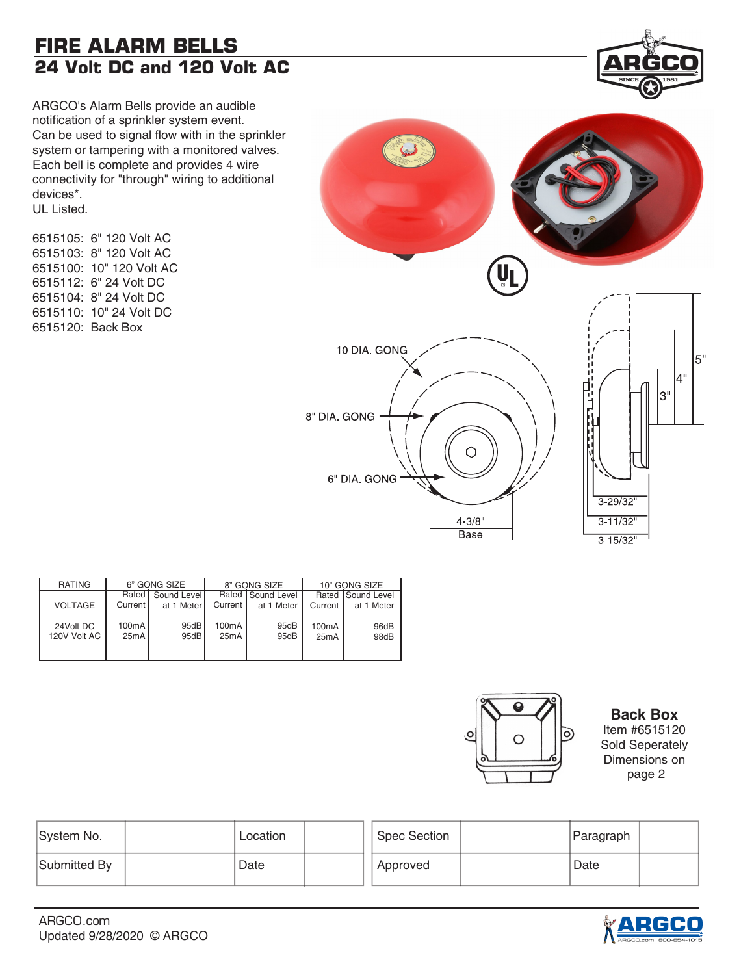# **FIRE ALARM BELLS 24 Volt DC and 120 Volt AC**

ARGCO's Alarm Bells provide an audible notification of a sprinkler system event. Can be used to signal flow with in the sprinkler system or tampering with a monitored valves. Each bell is complete and provides 4 wire connectivity for "through" wiring to additional devices\*. UL Listed.

6515105: 6" 120 Volt AC 6515103: 8" 120 Volt AC 6515100: 10" 120 Volt AC 6515112: 6" 24 Volt DC 6515104: 8" 24 Volt DC 6515110: 10" 24 Volt DC 6515120: Back Box



| <b>RATING</b>             |                 | 6" GONG SIZE                    |               | 8" GONG SIZE                    | 10" GONG SIZE |                                 |  |
|---------------------------|-----------------|---------------------------------|---------------|---------------------------------|---------------|---------------------------------|--|
| <b>VOLTAGE</b>            | Current I       | Rated Sound Level<br>at 1 Meter | Current       | Rated Sound Level<br>at 1 Meter | Current       | Rated Sound Level<br>at 1 Meter |  |
| 24Volt DC<br>120V Volt AC | 100mA l<br>25mA | 95dB<br>95dB                    | 100mA<br>25mA | 95dB<br>95dB                    | 100mA<br>25mA | 96dB<br>98dB                    |  |



**Back Box** Item #6515120 Sold Seperately Dimensions on page 2

| System No.   | Location | <b>Spec Section</b> | Paragraph |  |
|--------------|----------|---------------------|-----------|--|
| Submitted By | Date     | Approved            | Date      |  |